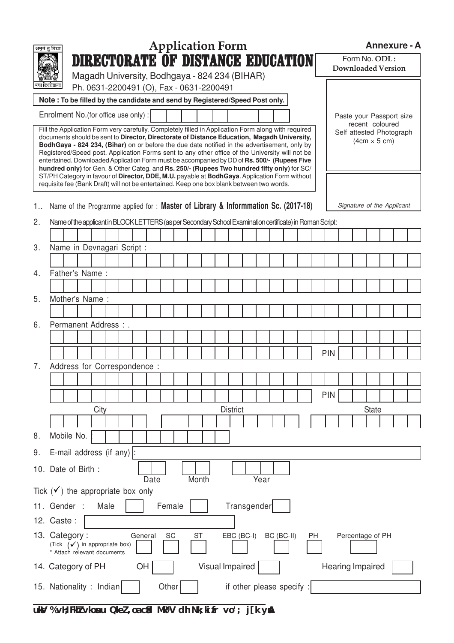|    | <b>Application Form</b><br>अमृतं तु विद्या<br><b>DIRECTORATE OF DISTANCE EDUCATION</b>                                                                                                                                                                                                                                                                                                                                                                                                                                                                                                                                                                                                                |                                               |      |      |  |         |      |        | <b>Annexure - A</b> |       |                 |  |                 |            |                           |            |  |    |            |  |  |                                            |  |                            |  |
|----|-------------------------------------------------------------------------------------------------------------------------------------------------------------------------------------------------------------------------------------------------------------------------------------------------------------------------------------------------------------------------------------------------------------------------------------------------------------------------------------------------------------------------------------------------------------------------------------------------------------------------------------------------------------------------------------------------------|-----------------------------------------------|------|------|--|---------|------|--------|---------------------|-------|-----------------|--|-----------------|------------|---------------------------|------------|--|----|------------|--|--|--------------------------------------------|--|----------------------------|--|
|    |                                                                                                                                                                                                                                                                                                                                                                                                                                                                                                                                                                                                                                                                                                       |                                               |      |      |  |         |      |        |                     |       |                 |  |                 |            |                           |            |  |    |            |  |  | Form No. ODL:<br><b>Downloaded Version</b> |  |                            |  |
|    |                                                                                                                                                                                                                                                                                                                                                                                                                                                                                                                                                                                                                                                                                                       | Magadh University, Bodhgaya - 824 234 (BIHAR) |      |      |  |         |      |        |                     |       |                 |  |                 |            |                           |            |  |    |            |  |  |                                            |  |                            |  |
|    | Ph. 0631-2200491 (O), Fax - 0631-2200491                                                                                                                                                                                                                                                                                                                                                                                                                                                                                                                                                                                                                                                              |                                               |      |      |  |         |      |        |                     |       |                 |  |                 |            |                           |            |  |    |            |  |  |                                            |  |                            |  |
|    | Note: To be filled by the candidate and send by Registered/Speed Post only.                                                                                                                                                                                                                                                                                                                                                                                                                                                                                                                                                                                                                           |                                               |      |      |  |         |      |        |                     |       |                 |  |                 |            |                           |            |  |    |            |  |  |                                            |  |                            |  |
|    | Enrolment No. (for office use only) :                                                                                                                                                                                                                                                                                                                                                                                                                                                                                                                                                                                                                                                                 |                                               |      |      |  |         |      |        |                     |       |                 |  |                 |            |                           |            |  |    |            |  |  | recent coloured                            |  | Paste your Passport size   |  |
|    | Fill the Application Form very carefully. Completely filled in Application Form along with required<br>documents should be sent to Director, Directorate of Distance Education, Magadh University,<br>BodhGaya - 824 234, (Bihar) on or before the due date notified in the advertisement, only by<br>Registered/Speed post. Application Forms sent to any other office of the University will not be<br>entertained. Downloaded Application Form must be accompanied by DD of Rs. 500/- (Rupees Five<br>hundred only) for Gen. & Other Categ. and Rs. 250/- (Rupees Two hundred fifty only) for SC/<br>ST/PH Category in favour of Director, DDE, M.U. payable at BodhGaya. Application Form without |                                               |      |      |  |         |      |        |                     |       |                 |  |                 |            |                           |            |  |    |            |  |  | $(4cm \times 5 cm)$                        |  | Self attested Photograph   |  |
|    | requisite fee (Bank Draft) will not be entertained. Keep one box blank between two words.                                                                                                                                                                                                                                                                                                                                                                                                                                                                                                                                                                                                             |                                               |      |      |  |         |      |        |                     |       |                 |  |                 |            |                           |            |  |    |            |  |  |                                            |  |                            |  |
| 1  | Name of the Programme applied for : Master of Library & Informmation Sc. (2017-18)                                                                                                                                                                                                                                                                                                                                                                                                                                                                                                                                                                                                                    |                                               |      |      |  |         |      |        |                     |       |                 |  |                 |            |                           |            |  |    |            |  |  |                                            |  | Signature of the Applicant |  |
| 2. | Name of the applicant in BLOCK LETTERS (as per Secondary School Examination certificate) in Roman Script:                                                                                                                                                                                                                                                                                                                                                                                                                                                                                                                                                                                             |                                               |      |      |  |         |      |        |                     |       |                 |  |                 |            |                           |            |  |    |            |  |  |                                            |  |                            |  |
|    |                                                                                                                                                                                                                                                                                                                                                                                                                                                                                                                                                                                                                                                                                                       |                                               |      |      |  |         |      |        |                     |       |                 |  |                 |            |                           |            |  |    |            |  |  |                                            |  |                            |  |
| 3. | Name in Devnagari Script :                                                                                                                                                                                                                                                                                                                                                                                                                                                                                                                                                                                                                                                                            |                                               |      |      |  |         |      |        |                     |       |                 |  |                 |            |                           |            |  |    |            |  |  |                                            |  |                            |  |
|    |                                                                                                                                                                                                                                                                                                                                                                                                                                                                                                                                                                                                                                                                                                       |                                               |      |      |  |         |      |        |                     |       |                 |  |                 |            |                           |            |  |    |            |  |  |                                            |  |                            |  |
| 4. | Father's Name:                                                                                                                                                                                                                                                                                                                                                                                                                                                                                                                                                                                                                                                                                        |                                               |      |      |  |         |      |        |                     |       |                 |  |                 |            |                           |            |  |    |            |  |  |                                            |  |                            |  |
|    |                                                                                                                                                                                                                                                                                                                                                                                                                                                                                                                                                                                                                                                                                                       |                                               |      |      |  |         |      |        |                     |       |                 |  |                 |            |                           |            |  |    |            |  |  |                                            |  |                            |  |
| 5. | Mother's Name:                                                                                                                                                                                                                                                                                                                                                                                                                                                                                                                                                                                                                                                                                        |                                               |      |      |  |         |      |        |                     |       |                 |  |                 |            |                           |            |  |    |            |  |  |                                            |  |                            |  |
|    |                                                                                                                                                                                                                                                                                                                                                                                                                                                                                                                                                                                                                                                                                                       |                                               |      |      |  |         |      |        |                     |       |                 |  |                 |            |                           |            |  |    |            |  |  |                                            |  |                            |  |
| 6. | Permanent Address : .                                                                                                                                                                                                                                                                                                                                                                                                                                                                                                                                                                                                                                                                                 |                                               |      |      |  |         |      |        |                     |       |                 |  |                 |            |                           |            |  |    |            |  |  |                                            |  |                            |  |
|    |                                                                                                                                                                                                                                                                                                                                                                                                                                                                                                                                                                                                                                                                                                       |                                               |      |      |  |         |      |        |                     |       |                 |  |                 |            |                           |            |  |    |            |  |  |                                            |  |                            |  |
|    |                                                                                                                                                                                                                                                                                                                                                                                                                                                                                                                                                                                                                                                                                                       |                                               |      |      |  |         |      |        |                     |       |                 |  |                 |            |                           |            |  |    | PIN        |  |  |                                            |  |                            |  |
| 7. | Address for Correspondence :                                                                                                                                                                                                                                                                                                                                                                                                                                                                                                                                                                                                                                                                          |                                               |      |      |  |         |      |        |                     |       |                 |  |                 |            |                           |            |  |    |            |  |  |                                            |  |                            |  |
|    |                                                                                                                                                                                                                                                                                                                                                                                                                                                                                                                                                                                                                                                                                                       |                                               |      |      |  |         |      |        |                     |       |                 |  |                 |            |                           |            |  |    |            |  |  |                                            |  |                            |  |
|    |                                                                                                                                                                                                                                                                                                                                                                                                                                                                                                                                                                                                                                                                                                       |                                               |      |      |  |         |      |        |                     |       |                 |  |                 |            |                           |            |  |    | <b>PIN</b> |  |  |                                            |  |                            |  |
|    |                                                                                                                                                                                                                                                                                                                                                                                                                                                                                                                                                                                                                                                                                                       |                                               | City |      |  |         |      |        |                     |       |                 |  | <b>District</b> |            |                           |            |  |    |            |  |  | <b>State</b>                               |  |                            |  |
|    |                                                                                                                                                                                                                                                                                                                                                                                                                                                                                                                                                                                                                                                                                                       |                                               |      |      |  |         |      |        |                     |       |                 |  |                 |            |                           |            |  |    |            |  |  |                                            |  |                            |  |
| 8. | Mobile No.                                                                                                                                                                                                                                                                                                                                                                                                                                                                                                                                                                                                                                                                                            |                                               |      |      |  |         |      |        |                     |       |                 |  |                 |            |                           |            |  |    |            |  |  |                                            |  |                            |  |
| 9. | E-mail address (if any) $\vert$ :                                                                                                                                                                                                                                                                                                                                                                                                                                                                                                                                                                                                                                                                     |                                               |      |      |  |         |      |        |                     |       |                 |  |                 |            |                           |            |  |    |            |  |  |                                            |  |                            |  |
|    | 10. Date of Birth:                                                                                                                                                                                                                                                                                                                                                                                                                                                                                                                                                                                                                                                                                    |                                               |      |      |  |         | Date |        |                     | Month |                 |  |                 |            | Year                      |            |  |    |            |  |  |                                            |  |                            |  |
|    | Tick $(\checkmark)$ the appropriate box only                                                                                                                                                                                                                                                                                                                                                                                                                                                                                                                                                                                                                                                          |                                               |      |      |  |         |      |        |                     |       |                 |  |                 |            |                           |            |  |    |            |  |  |                                            |  |                            |  |
|    | 11. Gender :                                                                                                                                                                                                                                                                                                                                                                                                                                                                                                                                                                                                                                                                                          |                                               |      | Male |  |         |      | Female |                     |       |                 |  |                 |            | Transgender               |            |  |    |            |  |  |                                            |  |                            |  |
|    | 12. Caste:                                                                                                                                                                                                                                                                                                                                                                                                                                                                                                                                                                                                                                                                                            |                                               |      |      |  |         |      |        |                     |       |                 |  |                 |            |                           |            |  |    |            |  |  |                                            |  |                            |  |
|    | 13. Category:<br>(Tick $(\checkmark)$ in appropriate box)<br>* Attach relevant documents                                                                                                                                                                                                                                                                                                                                                                                                                                                                                                                                                                                                              |                                               |      |      |  | General |      | SC     |                     | ST    |                 |  |                 | EBC (BC-I) |                           | BC (BC-II) |  | PH |            |  |  | Percentage of PH                           |  |                            |  |
|    | 14. Category of PH                                                                                                                                                                                                                                                                                                                                                                                                                                                                                                                                                                                                                                                                                    |                                               |      |      |  | OH      |      |        |                     |       | Visual Impaired |  |                 |            |                           |            |  |    |            |  |  | Hearing Impaired                           |  |                            |  |
|    | 15. Nationality : Indian                                                                                                                                                                                                                                                                                                                                                                                                                                                                                                                                                                                                                                                                              |                                               |      |      |  |         |      | Other  |                     |       |                 |  |                 |            | if other please specify : |            |  |    |            |  |  |                                            |  |                            |  |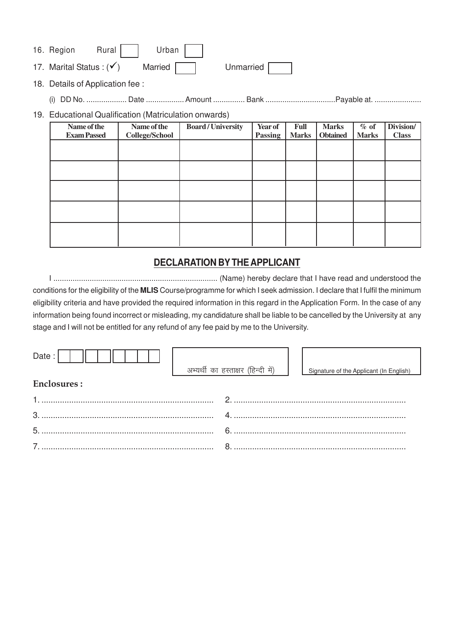| 16. Region                 | Rural I | Urban                         |           |  |
|----------------------------|---------|-------------------------------|-----------|--|
| 17. Marital Status: $(v')$ |         | Married $\boxed{\phantom{1}}$ | Unmarried |  |

18. Details of Application fee :

(i) DD No. ................... Date .................. Amount ................ Bank ................................... Payable at. ........................

## 19. Educational Qualification (Matriculation onwards)

| Name of the        | Name of the    | <b>Board/University</b> | Year of | Full         | <b>Marks</b>    | $%$ of       | Division/    |
|--------------------|----------------|-------------------------|---------|--------------|-----------------|--------------|--------------|
| <b>Exam Passed</b> | College/School |                         | Passing | <b>Marks</b> | <b>Obtained</b> | <b>Marks</b> | <b>Class</b> |
|                    |                |                         |         |              |                 |              |              |
|                    |                |                         |         |              |                 |              |              |
|                    |                |                         |         |              |                 |              |              |
|                    |                |                         |         |              |                 |              |              |
|                    |                |                         |         |              |                 |              |              |
|                    |                |                         |         |              |                 |              |              |

## **DECLARATION BY THE APPLICANT**

I ............................................................................. (Name) hereby declare that I have read and understood the conditions for the eligibility of the **MLIS** Course/programme for which I seek admission. I declare that I fulfil the minimum eligibility criteria and have provided the required information in this regard in the Application Form. In the case of any information being found incorrect or misleading, my candidature shall be liable to be cancelled by the University at any stage and I will not be entitled for any refund of any fee paid by me to the University.

| Date:              |  | अभ्यर्थी का हस्ताक्षर (हिन्दी में) |  | Signature of the Applicant (In English) |  |  |  |  |
|--------------------|--|------------------------------------|--|-----------------------------------------|--|--|--|--|
|                    |  |                                    |  |                                         |  |  |  |  |
| <b>Enclosures:</b> |  |                                    |  |                                         |  |  |  |  |
|                    |  | $\mathcal{P}$                      |  |                                         |  |  |  |  |
|                    |  |                                    |  |                                         |  |  |  |  |
| 5.                 |  |                                    |  | $6 \overline{)}$                        |  |  |  |  |
|                    |  |                                    |  |                                         |  |  |  |  |